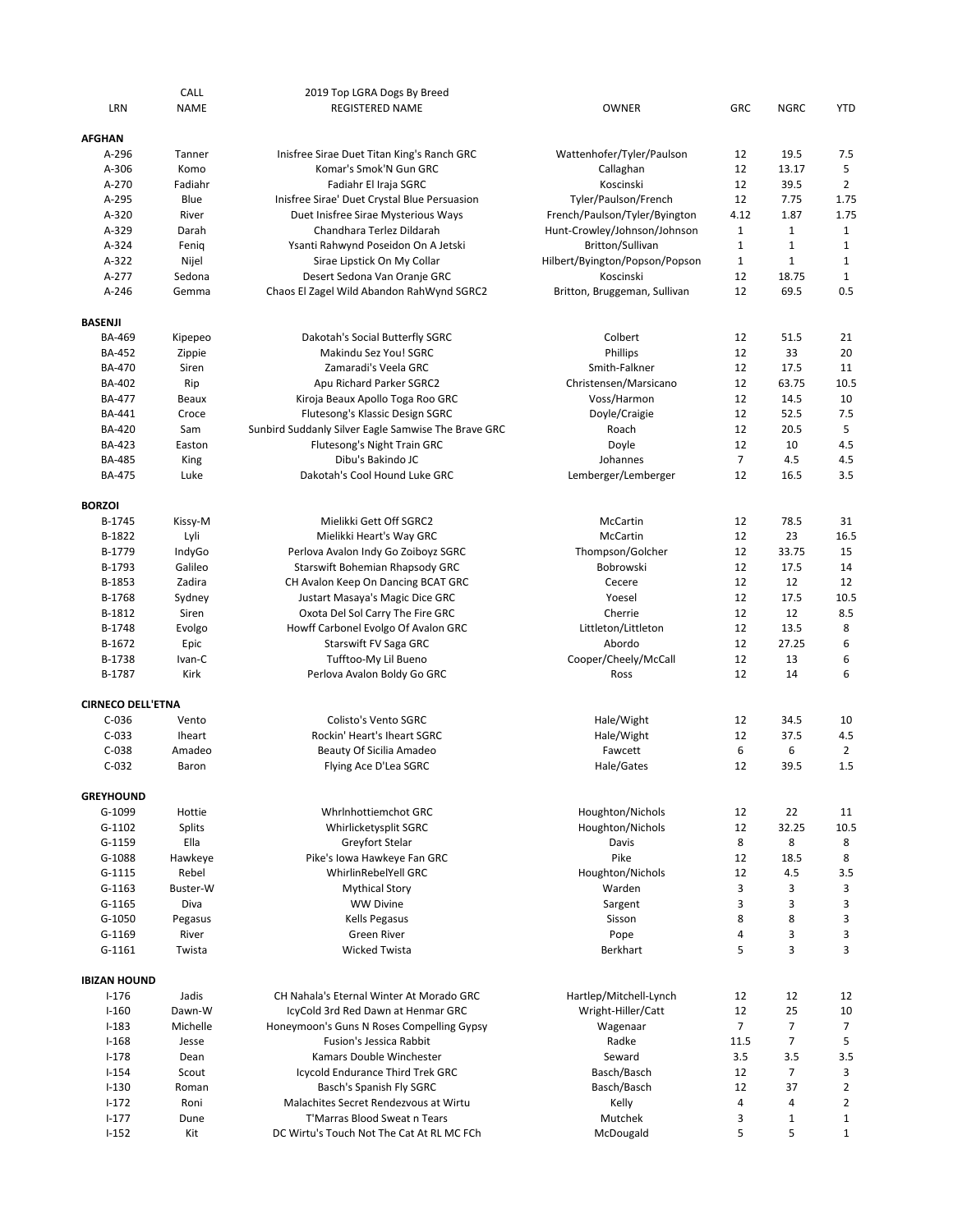| LRN                        | CALL<br><b>NAME</b> | 2019 Top LGRA Dogs By Breed<br><b>REGISTERED NAME</b>                     | <b>OWNER</b>                   | GRC            | <b>NGRC</b>    | <b>YTD</b>     |
|----------------------------|---------------------|---------------------------------------------------------------------------|--------------------------------|----------------|----------------|----------------|
| <b>AFGHAN</b>              |                     |                                                                           |                                |                |                |                |
| $A-296$                    | Tanner              | Inisfree Sirae Duet Titan King's Ranch GRC                                | Wattenhofer/Tyler/Paulson      | 12             | 19.5           | 7.5            |
| A-306                      | Komo                | Komar's Smok'N Gun GRC                                                    | Callaghan                      | 12             | 13.17          | 5              |
| A-270                      | Fadiahr             | Fadiahr El Iraja SGRC                                                     | Koscinski                      | 12             | 39.5           | 2              |
| A-295                      | Blue                | Inisfree Sirae' Duet Crystal Blue Persuasion                              | Tyler/Paulson/French           | 12             | 7.75           | 1.75           |
| A-320                      | River               | Duet Inisfree Sirae Mysterious Ways                                       | French/Paulson/Tyler/Byington  | 4.12           | 1.87           | 1.75           |
| A-329                      | Darah               | Chandhara Terlez Dildarah                                                 | Hunt-Crowley/Johnson/Johnson   | $\mathbf{1}$   | $\mathbf{1}$   | 1              |
| A-324                      | Fenig               | Ysanti Rahwynd Poseidon On A Jetski                                       | Britton/Sullivan               | $\mathbf 1$    | $\mathbf{1}$   | $\mathbf{1}$   |
| A-322                      | Nijel               | Sirae Lipstick On My Collar                                               | Hilbert/Byington/Popson/Popson | $\mathbf{1}$   | $\mathbf{1}$   | $\mathbf{1}$   |
| A-277                      |                     |                                                                           | Koscinski                      | 12             | 18.75          | $\mathbf{1}$   |
| $A - 246$                  | Sedona<br>Gemma     | Desert Sedona Van Oranje GRC<br>Chaos El Zagel Wild Abandon RahWynd SGRC2 | Britton, Bruggeman, Sullivan   | 12             | 69.5           | 0.5            |
|                            |                     |                                                                           |                                |                |                |                |
| <b>BASENJI</b>             |                     |                                                                           |                                |                |                |                |
| <b>BA-469</b>              | Kipepeo             | Dakotah's Social Butterfly SGRC                                           | Colbert                        | 12             | 51.5           | 21             |
| <b>BA-452</b>              | Zippie              | Makindu Sez You! SGRC                                                     | Phillips                       | 12             | 33             | 20             |
| <b>BA-470</b>              | Siren               | Zamaradi's Veela GRC                                                      | Smith-Falkner                  | 12             | 17.5           | 11             |
| BA-402                     | Rip                 | Apu Richard Parker SGRC2                                                  | Christensen/Marsicano          | 12             | 63.75          | 10.5           |
| <b>BA-477</b>              | Beaux               | Kiroja Beaux Apollo Toga Roo GRC                                          | Voss/Harmon                    | 12             | 14.5           | 10             |
| BA-441                     | Croce               | Flutesong's Klassic Design SGRC                                           | Doyle/Craigie                  | 12             | 52.5           | 7.5            |
| <b>BA-420</b>              | Sam                 | Sunbird Suddanly Silver Eagle Samwise The Brave GRC                       | Roach                          | 12             | 20.5           | 5              |
| BA-423                     | Easton              | Flutesong's Night Train GRC                                               | Doyle                          | 12             | 10             | 4.5            |
| <b>BA-485</b>              | King                | Dibu's Bakindo JC                                                         | Johannes                       | $\overline{7}$ | 4.5            | 4.5            |
| <b>BA-475</b>              | Luke                | Dakotah's Cool Hound Luke GRC                                             | Lemberger/Lemberger            | 12             | 16.5           | 3.5            |
|                            |                     |                                                                           |                                |                |                |                |
| <b>BORZOI</b><br>B-1745    |                     |                                                                           |                                |                |                | 31             |
|                            | Kissy-M             | Mielikki Gett Off SGRC2                                                   | McCartin                       | 12<br>12       | 78.5           | 16.5           |
| B-1822                     | Lyli                | Mielikki Heart's Way GRC                                                  | McCartin                       |                | 23             |                |
| B-1779                     | IndyGo              | Perlova Avalon Indy Go Zoiboyz SGRC                                       | Thompson/Golcher               | 12             | 33.75          | 15             |
| B-1793                     | Galileo             | Starswift Bohemian Rhapsody GRC                                           | Bobrowski                      | 12             | 17.5           | 14             |
| B-1853                     | Zadira              | CH Avalon Keep On Dancing BCAT GRC                                        | Cecere                         | 12             | 12             | 12             |
| B-1768                     | Sydney              | Justart Masaya's Magic Dice GRC                                           | Yoesel                         | 12             | 17.5           | 10.5           |
| B-1812                     | Siren               | Oxota Del Sol Carry The Fire GRC                                          | Cherrie                        | 12             | 12             | 8.5            |
| B-1748                     | Evolgo              | Howff Carbonel Evolgo Of Avalon GRC                                       | Littleton/Littleton            | 12             | 13.5           | 8              |
| B-1672                     | Epic                | Starswift FV Saga GRC                                                     | Abordo                         | 12             | 27.25          | 6              |
| B-1738                     | Ivan-C              | Tufftoo-My Lil Bueno                                                      | Cooper/Cheely/McCall           | 12             | 13             | 6              |
| B-1787                     | Kirk                | Perlova Avalon Boldy Go GRC                                               | Ross                           | 12             | 14             | 6              |
| <b>CIRNECO DELL'ETNA</b>   |                     |                                                                           |                                |                |                |                |
| $C-036$                    | Vento               | Colisto's Vento SGRC                                                      | Hale/Wight                     | 12             | 34.5           | 10             |
| $C-033$                    | <b>Iheart</b>       | Rockin' Heart's Iheart SGRC                                               | Hale/Wight                     | 12             | 37.5           | 4.5            |
| $C-038$                    | Amadeo              | Beauty Of Sicilia Amadeo                                                  | Fawcett                        | 6              | 6              | $\overline{2}$ |
| $C-032$                    | Baron               | Flying Ace D'Lea SGRC                                                     | Hale/Gates                     | 12             | 39.5           | 1.5            |
|                            |                     |                                                                           |                                |                |                |                |
| <b>GREYHOUND</b><br>G-1099 | Hottie              | Whrlnhottiemchot GRC                                                      | Houghton/Nichols               | 12             | 22             | 11             |
|                            |                     |                                                                           |                                |                |                |                |
| $G-1102$                   | <b>Splits</b>       | Whirlicketysplit SGRC                                                     | Houghton/Nichols               | 12             | 32.25          | 10.5           |
| G-1159                     | Ella                | Greyfort Stelar                                                           | Davis                          | 8              | 8              | 8              |
| G-1088                     | Hawkeye             | Pike's Iowa Hawkeye Fan GRC                                               | Pike                           | 12             | 18.5           | 8              |
| G-1115                     | Rebel               | WhirlinRebelYell GRC                                                      | Houghton/Nichols               | 12             | 4.5            | 3.5            |
| $G-1163$                   | Buster-W            | <b>Mythical Story</b>                                                     | Warden                         | 3              | 3              | 3              |
| $G-1165$                   | Diva                | <b>WW Divine</b>                                                          | Sargent                        | 3              | 3              | 3              |
| G-1050                     | Pegasus             | Kells Pegasus                                                             | Sisson                         | 8              | 8              | 3              |
| G-1169                     | River               | Green River                                                               | Pope                           | 4              | 3              | 3              |
| G-1161                     | Twista              | <b>Wicked Twista</b>                                                      | Berkhart                       | 5              | 3              | 3              |
| <b>IBIZAN HOUND</b>        |                     |                                                                           |                                |                |                |                |
| $I-176$                    | Jadis               | CH Nahala's Eternal Winter At Morado GRC                                  | Hartlep/Mitchell-Lynch         | 12             | 12             | 12             |
| $I-160$                    | Dawn-W              | IcyCold 3rd Red Dawn at Henmar GRC                                        | Wright-Hiller/Catt             | 12             | 25             | 10             |
| $I-183$                    | Michelle            | Honeymoon's Guns N Roses Compelling Gypsy                                 | Wagenaar                       | $\overline{7}$ | $\overline{7}$ | 7              |
| $I-168$                    | Jesse               | Fusion's Jessica Rabbit                                                   | Radke                          | 11.5           | $\overline{7}$ | 5              |
| $I-178$                    | Dean                | Kamars Double Winchester                                                  | Seward                         | 3.5            | 3.5            | 3.5            |
| $I - 154$                  | Scout               | Icycold Endurance Third Trek GRC                                          | Basch/Basch                    | 12             | $\overline{7}$ | 3              |
| $I-130$                    | Roman               | Basch's Spanish Fly SGRC                                                  | Basch/Basch                    | 12             | 37             | $\overline{2}$ |
| $1 - 172$                  | Roni                | Malachites Secret Rendezvous at Wirtu                                     | Kelly                          | 4              | $\overline{4}$ | $\overline{2}$ |
| $1 - 177$                  | Dune                | T'Marras Blood Sweat n Tears                                              | Mutchek                        | 3              | $\mathbf{1}$   | $\mathbf{1}$   |
| $I-152$                    | Kit                 | DC Wirtu's Touch Not The Cat At RL MC FCh                                 | McDougald                      | 5              | 5              | $\mathbf{1}$   |
|                            |                     |                                                                           |                                |                |                |                |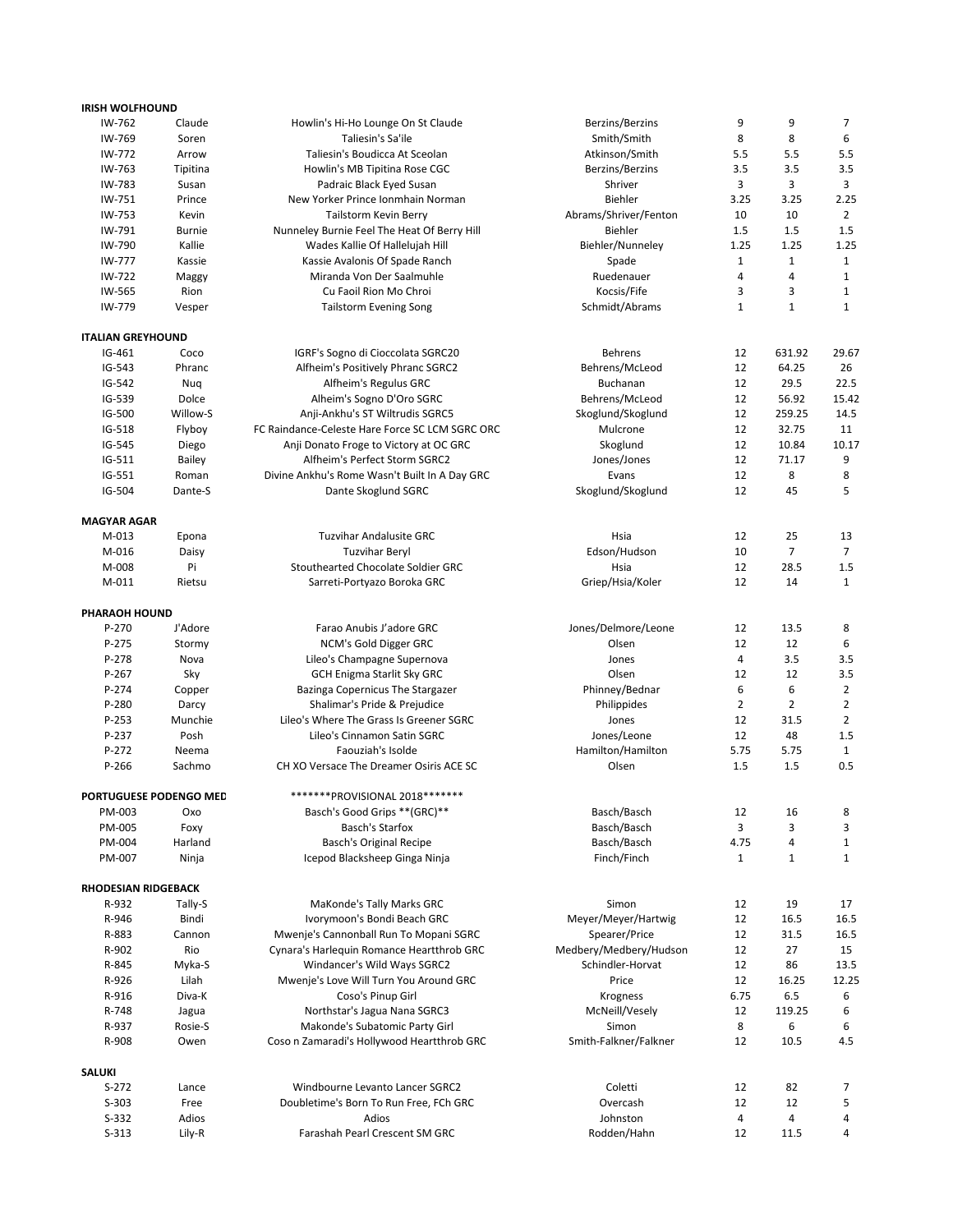| <b>IRISH WOLFHOUND</b>     |                        |                                                 |                        |                |                |                |
|----------------------------|------------------------|-------------------------------------------------|------------------------|----------------|----------------|----------------|
| IW-762                     | Claude                 | Howlin's Hi-Ho Lounge On St Claude              | Berzins/Berzins        | 9              | 9              | 7              |
| IW-769                     | Soren                  | Taliesin's Sa'ile                               | Smith/Smith            | 8              | 8              | 6              |
| IW-772                     | Arrow                  | Taliesin's Boudicca At Sceolan                  | Atkinson/Smith         | 5.5            | 5.5            | 5.5            |
| IW-763                     | Tipitina               | Howlin's MB Tipitina Rose CGC                   | Berzins/Berzins        | 3.5            | 3.5            | 3.5            |
| IW-783                     | Susan                  |                                                 | Shriver                | 3              | 3              | 3              |
|                            |                        | Padraic Black Eyed Susan                        |                        |                |                |                |
| IW-751                     | Prince                 | New Yorker Prince Ionmhain Norman               | <b>Biehler</b>         | 3.25           | 3.25           | 2.25           |
| IW-753                     | Kevin                  | Tailstorm Kevin Berry                           | Abrams/Shriver/Fenton  | 10             | 10             | 2              |
| IW-791                     | <b>Burnie</b>          | Nunneley Burnie Feel The Heat Of Berry Hill     | <b>Biehler</b>         | 1.5            | 1.5            | 1.5            |
| IW-790                     | Kallie                 | Wades Kallie Of Hallelujah Hill                 | Biehler/Nunneley       | 1.25           | 1.25           | 1.25           |
| IW-777                     | Kassie                 | Kassie Avalonis Of Spade Ranch                  | Spade                  | $\mathbf{1}$   | $\mathbf{1}$   | $\mathbf{1}$   |
| IW-722                     | Maggy                  | Miranda Von Der Saalmuhle                       | Ruedenauer             | 4              | $\overline{4}$ | 1              |
| IW-565                     | Rion                   | Cu Faoil Rion Mo Chroi                          | Kocsis/Fife            | 3              | 3              | 1              |
|                            |                        |                                                 |                        |                |                |                |
| IW-779                     | Vesper                 | <b>Tailstorm Evening Song</b>                   | Schmidt/Abrams         | $\mathbf{1}$   | $\mathbf{1}$   | $\mathbf{1}$   |
| <b>ITALIAN GREYHOUND</b>   |                        |                                                 |                        |                |                |                |
| IG-461                     | Coco                   | IGRF's Sogno di Cioccolata SGRC20               | <b>Behrens</b>         | 12             | 631.92         | 29.67          |
| $IG-543$                   | Phranc                 | Alfheim's Positively Phranc SGRC2               | Behrens/McLeod         | 12             | 64.25          | 26             |
| IG-542                     | Nuq                    | Alfheim's Regulus GRC                           | <b>Buchanan</b>        | 12             | 29.5           | 22.5           |
|                            | Dolce                  |                                                 |                        | 12             |                |                |
| IG-539                     |                        | Alheim's Sogno D'Oro SGRC                       | Behrens/McLeod         |                | 56.92          | 15.42          |
| IG-500                     | Willow-S               | Anji-Ankhu's ST Wiltrudis SGRC5                 | Skoglund/Skoglund      | 12             | 259.25         | 14.5           |
| IG-518                     | Flyboy                 | FC Raindance-Celeste Hare Force SC LCM SGRC ORC | Mulcrone               | 12             | 32.75          | 11             |
| IG-545                     | Diego                  | Anji Donato Froge to Victory at OC GRC          | Skoglund               | 12             | 10.84          | 10.17          |
| IG-511                     | Bailey                 | Alfheim's Perfect Storm SGRC2                   | Jones/Jones            | 12             | 71.17          | 9              |
| IG-551                     | Roman                  | Divine Ankhu's Rome Wasn't Built In A Day GRC   | Evans                  | 12             | 8              | 8              |
| IG-504                     | Dante-S                | Dante Skoglund SGRC                             | Skoglund/Skoglund      | 12             | 45             | 5              |
|                            |                        |                                                 |                        |                |                |                |
| <b>MAGYAR AGAR</b>         |                        |                                                 |                        |                |                |                |
| $M-013$                    | Epona                  | <b>Tuzvihar Andalusite GRC</b>                  | Hsia                   | 12             | 25             | 13             |
| M-016                      | Daisy                  | <b>Tuzvihar Beryl</b>                           | Edson/Hudson           | 10             | 7              | 7              |
| M-008                      | Pi                     | Stouthearted Chocolate Soldier GRC              | Hsia                   | 12             | 28.5           | 1.5            |
| M-011                      | Rietsu                 | Sarreti-Portyazo Boroka GRC                     | Griep/Hsia/Koler       | 12             | 14             | $\mathbf{1}$   |
|                            |                        |                                                 |                        |                |                |                |
| PHARAOH HOUND              |                        |                                                 |                        |                |                |                |
| P-270                      | J'Adore                | Farao Anubis J'adore GRC                        | Jones/Delmore/Leone    | 12             | 13.5           | 8              |
| P-275                      | Stormy                 | NCM's Gold Digger GRC                           | Olsen                  | 12             | 12             | 6              |
| P-278                      | Nova                   | Lileo's Champagne Supernova                     | Jones                  | 4              | 3.5            | 3.5            |
| P-267                      | Sky                    | <b>GCH Enigma Starlit Sky GRC</b>               | Olsen                  | 12             | 12             | 3.5            |
| P-274                      | Copper                 | Bazinga Copernicus The Stargazer                | Phinney/Bednar         | 6              | 6              | $\overline{2}$ |
| P-280                      | Darcy                  | Shalimar's Pride & Prejudice                    | Philippides            | $\overline{2}$ | $\overline{2}$ | $\overline{2}$ |
|                            | Munchie                | Lileo's Where The Grass Is Greener SGRC         |                        |                |                |                |
| P-253                      |                        |                                                 | Jones                  | 12             | 31.5           | 2              |
| P-237                      | Posh                   | Lileo's Cinnamon Satin SGRC                     | Jones/Leone            | 12             | 48             | 1.5            |
| P-272                      | Neema                  | Faouziah's Isolde                               | Hamilton/Hamilton      | 5.75           | 5.75           | $\mathbf{1}$   |
| $P-266$                    | Sachmo                 | CH XO Versace The Dreamer Osiris ACE SC         | Olsen                  | 1.5            | 1.5            | 0.5            |
|                            | PORTUGUESE PODENGO MED | *******PROVISIONAL 2018********                 |                        |                |                |                |
|                            |                        | Basch's Good Grips ** (GRC) **                  | Basch/Basch            |                |                |                |
| PM-003                     | Охо                    |                                                 |                        | 12             | 16             | 8              |
| PM-005                     | Foxy                   | <b>Basch's Starfox</b>                          | Basch/Basch            | 3              | 3              | 3              |
| PM-004                     | Harland                | Basch's Original Recipe                         | Basch/Basch            | 4.75           | 4              | 1              |
| PM-007                     | Ninja                  | Icepod Blacksheep Ginga Ninja                   | Finch/Finch            | $\mathbf{1}$   | $\mathbf{1}$   | $\mathbf{1}$   |
|                            |                        |                                                 |                        |                |                |                |
| <b>RHODESIAN RIDGEBACK</b> |                        |                                                 |                        |                |                |                |
| R-932                      | Tally-S                | MaKonde's Tally Marks GRC                       | Simon                  | 12             | 19             | 17             |
| R-946                      | Bindi                  | Ivorymoon's Bondi Beach GRC                     | Meyer/Meyer/Hartwig    | 12             | 16.5           | 16.5           |
| R-883                      | Cannon                 | Mwenje's Cannonball Run To Mopani SGRC          | Spearer/Price          | 12             | 31.5           | 16.5           |
| R-902                      | Rio                    | Cynara's Harlequin Romance Heartthrob GRC       | Medbery/Medbery/Hudson | 12             | 27             | 15             |
| R-845                      | Myka-S                 | Windancer's Wild Ways SGRC2                     | Schindler-Horvat       | 12             | 86             | 13.5           |
| R-926                      | Lilah                  | Mwenje's Love Will Turn You Around GRC          | Price                  | 12             | 16.25          | 12.25          |
|                            |                        | Coso's Pinup Girl                               | Krogness               | 6.75           | 6.5            | 6              |
| R-916                      | Diva-K                 |                                                 |                        |                |                |                |
| R-748                      | Jagua                  | Northstar's Jagua Nana SGRC3                    | McNeill/Vesely         | 12             | 119.25         | 6              |
| R-937                      | Rosie-S                | Makonde's Subatomic Party Girl                  | Simon                  | 8              | 6              | 6              |
| R-908                      | Owen                   | Coso n Zamaradi's Hollywood Heartthrob GRC      | Smith-Falkner/Falkner  | 12             | 10.5           | 4.5            |
| <b>SALUKI</b>              |                        |                                                 |                        |                |                |                |
|                            |                        |                                                 |                        |                |                |                |
| $S-272$                    | Lance                  | Windbourne Levanto Lancer SGRC2                 | Coletti                | 12             | 82             | 7              |
| $S-303$                    | Free                   | Doubletime's Born To Run Free, FCh GRC          | Overcash               | 12             | 12             | 5              |
| $S-332$                    | Adios                  | Adios                                           | Johnston               | 4              | $\overline{4}$ | 4              |
| $S-313$                    | Lily-R                 | Farashah Pearl Crescent SM GRC                  | Rodden/Hahn            | 12             | 11.5           | 4              |
|                            |                        |                                                 |                        |                |                |                |